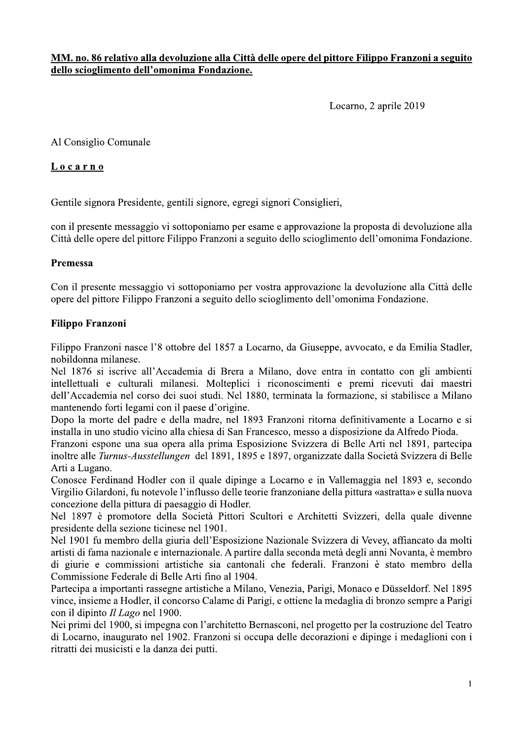MM, no. 86 relativo alla devoluzione alla Città delle opere del pittore Filippo Franzoni a seguito dello scioglimento dell'omonima Fondazione.

Locarno, 2 aprile 2019

Al Consiglio Comunale

### Locarno

Gentile signora Presidente, gentili signore, egregi signori Consiglieri,

con il presente messaggio vi sottoponiamo per esame e approvazione la proposta di devoluzione alla Città delle opere del pittore Filippo Franzoni a seguito dello scioglimento dell'omonima Fondazione.

### Premessa

Con il presente messaggio vi sottoponiamo per vostra approvazione la devoluzione alla Città delle opere del pittore Filippo Franzoni a seguito dello scioglimento dell'omonima Fondazione.

### **Filippo Franzoni**

Filippo Franzoni nasce l'8 ottobre del 1857 a Locarno, da Giuseppe, avvocato, e da Emilia Stadler, nobildonna milanese.

Nel 1876 si iscrive all'Accademia di Brera a Milano, dove entra in contatto con gli ambienti intellettuali e culturali milanesi. Molteplici i riconoscimenti e premi ricevuti dai maestri dell'Accademia nel corso dei suoi studi. Nel 1880, terminata la formazione, si stabilisce a Milano mantenendo forti legami con il paese d'origine.

Dopo la morte del padre e della madre, nel 1893 Franzoni ritorna definitivamente a Locarno e si installa in uno studio vicino alla chiesa di San Francesco, messo a disposizione da Alfredo Pioda.

Franzoni espone una sua opera alla prima Esposizione Svizzera di Belle Arti nel 1891, partecipa inoltre alle Turnus-Ausstellungen del 1891, 1895 e 1897, organizzate dalla Società Svizzera di Belle Arti a Lugano.

Conosce Ferdinand Hodler con il quale dipinge a Locarno e in Vallemaggia nel 1893 e, secondo Virgilio Gilardoni, fu notevole l'influsso delle teorie franzoniane della pittura «astratta» e sulla nuova concezione della pittura di paesaggio di Hodler.

Nel 1897 è promotore della Società Pittori Scultori e Architetti Svizzeri, della quale divenne presidente della sezione ticinese nel 1901.

Nel 1901 fu membro della giuria dell'Esposizione Nazionale Svizzera di Vevey, affiancato da molti artisti di fama nazionale e internazionale. A partire dalla seconda metà degli anni Novanta, è membro di giurie e commissioni artistiche sia cantonali che federali. Franzoni è stato membro della Commissione Federale di Belle Arti fino al 1904.

Partecipa a importanti rassegne artistiche a Milano, Venezia, Parigi, Monaco e Düsseldorf. Nel 1895 vince, insieme a Hodler, il concorso Calame di Parigi, e ottiene la medaglia di bronzo sempre a Parigi con il dipinto *Il Lago* nel 1900.

Nei primi del 1900, si impegna con l'architetto Bernasconi, nel progetto per la costruzione del Teatro di Locarno, inaugurato nel 1902. Franzoni si occupa delle decorazioni e dipinge i medaglioni con i ritratti dei musicisti e la danza dei putti.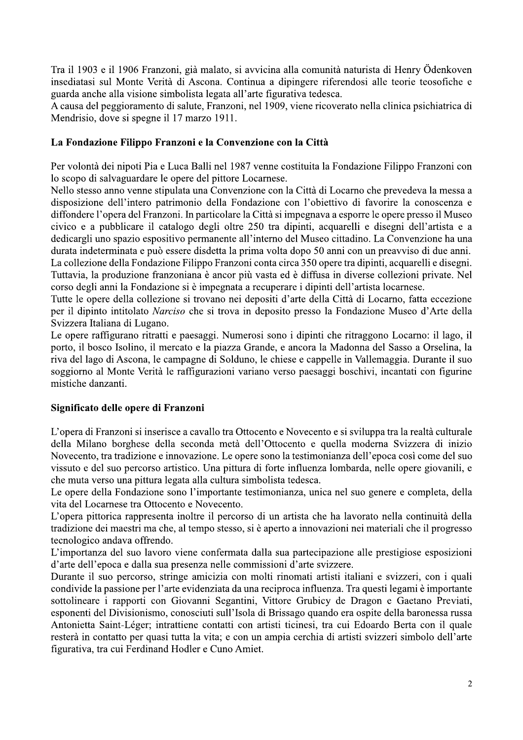Tra il 1903 e il 1906 Franzoni, già malato, si avvicina alla comunità naturista di Henry Ödenkoven insediatasi sul Monte Verità di Ascona. Continua a dipingere riferendosi alle teorie teosofiche e guarda anche alla visione simbolista legata all'arte figurativa tedesca.

A causa del peggioramento di salute, Franzoni, nel 1909, viene ricoverato nella clinica psichiatrica di Mendrisio, dove si spegne il 17 marzo 1911.

### La Fondazione Filippo Franzoni e la Convenzione con la Città

Per volontà dei nipoti Pia e Luca Balli nel 1987 venne costituita la Fondazione Filippo Franzoni con lo scopo di salvaguardare le opere del pittore Locarnese.

Nello stesso anno venne stipulata una Convenzione con la Città di Locarno che prevedeva la messa a disposizione dell'intero patrimonio della Fondazione con l'obiettivo di favorire la conoscenza e diffondere l'opera del Franzoni. In particolare la Città si impegnava a esporre le opere presso il Museo civico e a pubblicare il catalogo degli oltre 250 tra dipinti, acquarelli e disegni dell'artista e a dedicargli uno spazio espositivo permanente all'interno del Museo cittadino. La Convenzione ha una durata indeterminata e può essere disdetta la prima volta dopo 50 anni con un preavviso di due anni. La collezione della Fondazione Filippo Franzoni conta circa 350 opere tra dipinti, acquarelli e disegni. Tuttavia, la produzione franzoniana è ancor più vasta ed è diffusa in diverse collezioni private. Nel corso degli anni la Fondazione si è impegnata a recuperare i dipinti dell'artista locarnese.

Tutte le opere della collezione si trovano nei depositi d'arte della Città di Locarno, fatta eccezione per il dipinto intitolato Narciso che si trova in deposito presso la Fondazione Museo d'Arte della Svizzera Italiana di Lugano.

Le opere raffigurano ritratti e paesaggi. Numerosi sono i dipinti che ritraggono Locarno: il lago, il porto, il bosco Isolino, il mercato e la piazza Grande, e ancora la Madonna del Sasso a Orselina, la riva del lago di Ascona, le campagne di Solduno, le chiese e cappelle in Vallemaggia. Durante il suo soggiorno al Monte Verità le raffigurazioni variano verso paesaggi boschivi, incantati con figurine mistiche danzanti.

### Significato delle opere di Franzoni

L'opera di Franzoni si inserisce a cavallo tra Ottocento e Novecento e si sviluppa tra la realtà culturale della Milano borghese della seconda metà dell'Ottocento e quella moderna Svizzera di inizio Novecento, tra tradizione e innovazione. Le opere sono la testimonianza dell'epoca così come del suo vissuto e del suo percorso artistico. Una pittura di forte influenza lombarda, nelle opere giovanili, e che muta verso una pittura legata alla cultura simbolista tedesca.

Le opere della Fondazione sono l'importante testimonianza, unica nel suo genere e completa, della vita del Locarnese tra Ottocento e Novecento.

L'opera pittorica rappresenta inoltre il percorso di un artista che ha lavorato nella continuità della tradizione dei maestri ma che, al tempo stesso, si è aperto a innovazioni nei materiali che il progresso tecnologico andava offrendo.

L'importanza del suo lavoro viene confermata dalla sua partecipazione alle prestigiose esposizioni d'arte dell'epoca e dalla sua presenza nelle commissioni d'arte svizzere.

Durante il suo percorso, stringe amicizia con molti rinomati artisti italiani e svizzeri, con i quali condivide la passione per l'arte evidenziata da una reciproca influenza. Tra questi legami è importante sottolineare i rapporti con Giovanni Segantini, Vittore Grubicy de Dragon e Gaetano Previati, esponenti del Divisionismo, conosciuti sull'Isola di Brissago quando era ospite della baronessa russa Antonietta Saint-Léger; intrattiene contatti con artisti ticinesi, tra cui Edoardo Berta con il quale resterà in contatto per quasi tutta la vita; e con un ampia cerchia di artisti svizzeri simbolo dell'arte figurativa, tra cui Ferdinand Hodler e Cuno Amiet.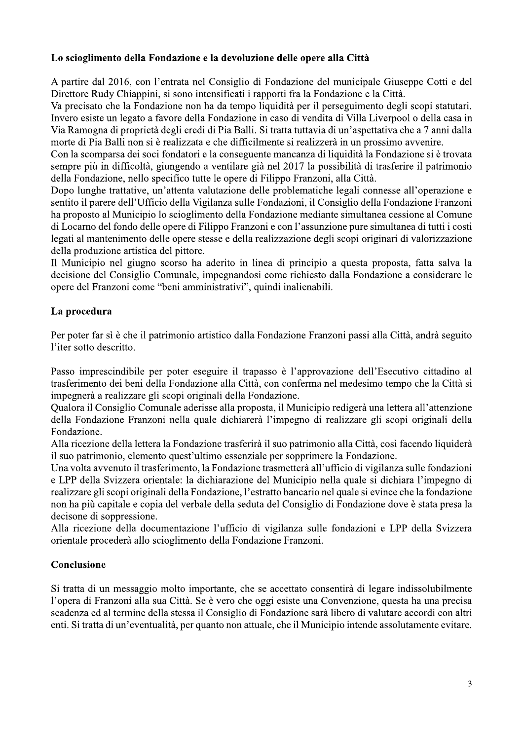## Lo scioglimento della Fondazione e la devoluzione delle opere alla Città

A partire dal 2016, con l'entrata nel Consiglio di Fondazione del municipale Giuseppe Cotti e del Direttore Rudy Chiappini, si sono intensificati i rapporti fra la Fondazione e la Città.

Va precisato che la Fondazione non ha da tempo liquidità per il perseguimento degli scopi statutari. Invero esiste un legato a favore della Fondazione in caso di vendita di Villa Liverpool o della casa in Via Ramogna di proprietà degli eredi di Pia Balli. Si tratta tuttavia di un'aspettativa che a 7 anni dalla morte di Pia Balli non si è realizzata e che difficilmente si realizzerà in un prossimo avvenire.

Con la scomparsa dei soci fondatori e la conseguente mancanza di liquidità la Fondazione si è trovata sempre più in difficoltà, giungendo a ventilare già nel 2017 la possibilità di trasferire il patrimonio della Fondazione, nello specifico tutte le opere di Filippo Franzoni, alla Città.

Dopo lunghe trattative, un'attenta valutazione delle problematiche legali connesse all'operazione e sentito il parere dell'Ufficio della Vigilanza sulle Fondazioni, il Consiglio della Fondazione Franzoni ha proposto al Municipio lo scioglimento della Fondazione mediante simultanea cessione al Comune di Locarno del fondo delle opere di Filippo Franzoni e con l'assunzione pure simultanea di tutti i costi legati al mantenimento delle opere stesse e della realizzazione degli scopi originari di valorizzazione della produzione artistica del pittore.

Il Municipio nel giugno scorso ha aderito in linea di principio a questa proposta, fatta salva la decisione del Consiglio Comunale, impegnandosi come richiesto dalla Fondazione a considerare le opere del Franzoni come "beni amministrativi", quindi inalienabili.

# La procedura

Per poter far sì è che il patrimonio artistico dalla Fondazione Franzoni passi alla Città, andrà seguito l'iter sotto descritto.

Passo imprescindibile per poter eseguire il trapasso è l'approvazione dell'Esecutivo cittadino al trasferimento dei beni della Fondazione alla Città, con conferma nel medesimo tempo che la Città si impegnerà a realizzare gli scopi originali della Fondazione.

Qualora il Consiglio Comunale aderisse alla proposta, il Municipio redigerà una lettera all'attenzione della Fondazione Franzoni nella quale dichiarerà l'impegno di realizzare gli scopi originali della Fondazione.

Alla ricezione della lettera la Fondazione trasferirà il suo patrimonio alla Città, così facendo liquiderà il suo patrimonio, elemento quest'ultimo essenziale per sopprimere la Fondazione.

Una volta avvenuto il trasferimento, la Fondazione trasmetterà all'ufficio di vigilanza sulle fondazioni e LPP della Svizzera orientale: la dichiarazione del Municipio nella quale si dichiara l'impegno di realizzare gli scopi originali della Fondazione, l'estratto bancario nel quale si evince che la fondazione non ha più capitale e copia del verbale della seduta del Consiglio di Fondazione dove è stata presa la decisone di soppressione.

Alla ricezione della documentazione l'ufficio di vigilanza sulle fondazioni e LPP della Svizzera orientale procederà allo scioglimento della Fondazione Franzoni.

# Conclusione

Si tratta di un messaggio molto importante, che se accettato consentirà di legare indissolubilmente l'opera di Franzoni alla sua Città. Se è vero che oggi esiste una Convenzione, questa ha una precisa scadenza ed al termine della stessa il Consiglio di Fondazione sarà libero di valutare accordi con altri enti. Si tratta di un'eventualità, per quanto non attuale, che il Municipio intende assolutamente evitare.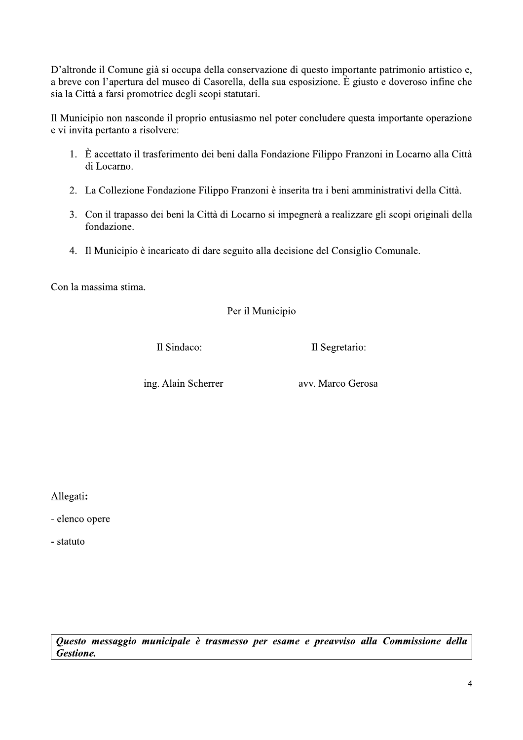D'altronde il Comune già si occupa della conservazione di questo importante patrimonio artistico e, a breve con l'apertura del museo di Casorella, della sua esposizione. È giusto e doveroso infine che sia la Città a farsi promotrice degli scopi statutari.

Il Municipio non nasconde il proprio entusiasmo nel poter concludere questa importante operazione e vi invita pertanto a risolvere:

- 1. È accettato il trasferimento dei beni dalla Fondazione Filippo Franzoni in Locarno alla Città di Locarno.
- 2. La Collezione Fondazione Filippo Franzoni è inserita tra i beni amministrativi della Città.
- 3. Con il trapasso dei beni la Città di Locarno si impegnerà a realizzare gli scopi originali della fondazione.
- 4. Il Municipio è incaricato di dare seguito alla decisione del Consiglio Comunale.

Con la massima stima.

Per il Municipio

Il Sindaco:

Il Segretario:

ing. Alain Scherrer

avv. Marco Gerosa

Allegati:

- elenco opere

- statuto

Questo messaggio municipale è trasmesso per esame e preavviso alla Commissione della **Gestione.**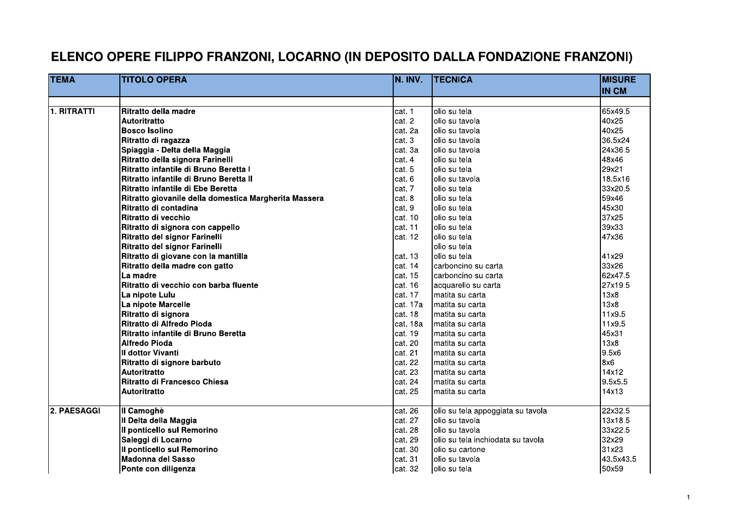# ELENCO OPERE FILIPPO FRANZONI, LOCARNO (IN DEPOSITO DALLA FONDAZIONE FRANZONI)

| <b>TEMA</b> | <b>TITOLO OPERA</b>                                   | IN. INV. | <b>TECNICA</b>                     | <b>MISURE</b> |
|-------------|-------------------------------------------------------|----------|------------------------------------|---------------|
|             |                                                       |          |                                    | <b>IN CM</b>  |
|             |                                                       |          |                                    |               |
| 1. RITRATTI | Ritratto della madre                                  | cat. 1   | olio su tela                       | 65x49.5       |
|             | Autoritratto                                          | cat. 2   | lolio su tavola                    | 40x25         |
|             | <b>Bosco Isolino</b>                                  | cat. 2a  | olio su tavola                     | 40x25         |
|             | Ritratto di ragazza                                   | cat. 3   | olio su tavola                     | 36.5x24       |
|             | Spiaggia - Delta della Maggia                         | cat. 3a  | olio su tavola                     | 24x36.5       |
|             | Ritratto della signora Farinelli                      | cat. 4   | olio su tela                       | 48x46         |
|             | Ritratto infantile di Bruno Beretta I                 | cat. 5   | olio su tela                       | 29x21         |
|             | Ritratto infantile di Bruno Beretta II                | cat. 6   | olio su tavola                     | 18.5x16       |
|             | Ritratto infantile di Ebe Beretta                     | cat. 7   | lolio su tela                      | 33x20.5       |
|             | Ritratto giovanile della domestica Margherita Massera | cat. 8   | lolio su tela                      | 59x46         |
|             | Ritratto di contadina                                 | cat. 9   | olio su tela                       | 45x30         |
|             | Ritratto di vecchio                                   | cat. 10  | olio su tela                       | 37x25         |
|             | Ritratto di signora con cappello                      | cat. 11  | olio su tela                       | 39x33         |
|             | Ritratto del signor Farinelli                         | cat. 12  | olio su tela                       | 47x36         |
|             | Ritratto del signor Farinelli                         |          | lolio su tela                      |               |
|             | Ritratto di giovane con la mantilla                   | cat. 13  | lolio su tela                      | 41x29         |
|             | Ritratto della madre con gatto                        | cat. 14  | carboncino su carta                | 33x26         |
|             | La madre                                              | cat. 15  | Icarboncino su carta               | 62x47.5       |
|             | Ritratto di vecchio con barba fluente                 | cat. 16  | acquarello su carta                | 27x19.5       |
|             | La nipote Lulu                                        | cat. 17  | Imatita su carta                   | 13x8          |
|             | La nipote Marcelle                                    | cat. 17a | matita su carta                    | 13x8          |
|             | Ritratto di signora                                   | cat. 18  | matita su carta                    | 11x9.5        |
|             | Ritratto di Alfredo Pioda                             | cat. 18a | Imatita su carta                   | 11x9.5        |
|             | Ritratto infantile di Bruno Beretta                   | cat. 19  | matita su carta                    | 45x31         |
|             | <b>Alfredo Pioda</b>                                  | cat. 20  | matita su carta                    | 13x8          |
|             | Il dottor Vivanti                                     | cat. 21  | matita su carta                    | 9.5x6         |
|             | Ritratto di signore barbuto                           | cat. 22  | Imatita su carta                   | 8x6           |
|             | <b>Autoritratto</b>                                   | cat. 23  | matita su carta                    | 14x12         |
|             | Ritratto di Francesco Chiesa                          | cat. 24  | lmatita su carta                   | 9.5x5.5       |
|             | <b>Autoritratto</b>                                   | cat. 25  | matita su carta                    | 14x13         |
|             |                                                       |          |                                    |               |
| 2. PAESAGGI | Il Camoghè                                            | cat. 26  | olio su tela appoggiata su tavola  | 22x32.5       |
|             | Il Delta della Maggia                                 | cat. 27  | olio su tavola                     | 13x18.5       |
|             | Il ponticello sul Remorino                            | cat. 28  | lolio su tavola                    | 33x22.5       |
|             | Saleggi di Locarno                                    | cat. 29  | lolio su tela inchiodata su tavola | 32x29         |
|             | Il ponticello sul Remorino                            | cat. 30  | olio su cartone                    | 31x23         |
|             | Madonna del Sasso                                     | cat. 31  | lolio su tavola                    | 43.5x43.5     |
|             | Ponte con diligenza                                   | cat. 32  | olio su tela                       | 50x59         |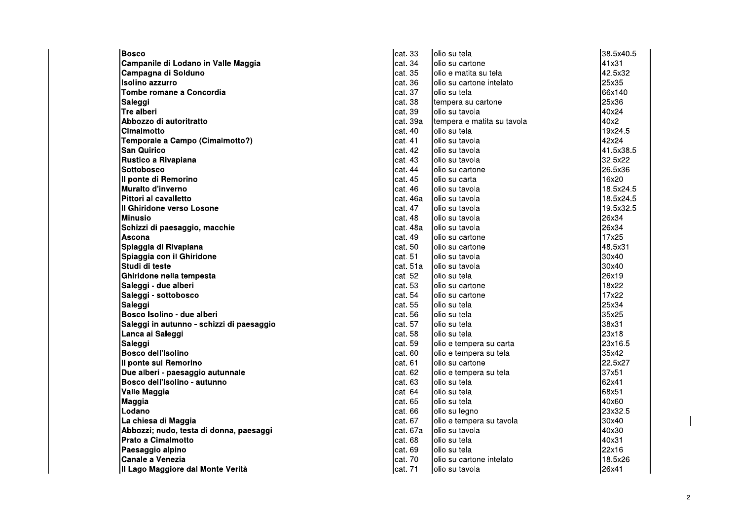| <b>Bosco</b>                              | cat. 33   | olio su tela               | 38.5x40.5 |
|-------------------------------------------|-----------|----------------------------|-----------|
| Campanile di Lodano in Valle Maggia       | cat. 34   | lolio su cartone           | 41x31     |
| Campagna di Solduno                       | cat. 35   | olio e matita su tela      | 42.5x32   |
| Isolino azzurro                           | cat. 36   | lolio su cartone intelato  | 25x35     |
| Tombe romane a Concordia                  | cat. 37   | olio su tela               | 66x140    |
| Saleggi                                   | cat. 38   | tempera su cartone         | 25x36     |
| Tre alberi                                | cat. 39   | olio su tavola             | 40x24     |
| Abbozzo di autoritratto                   | cat. 39a  | tempera e matita su tavola | 40x2      |
| Cimalmotto                                | cat. 40   | lolio su tela              | 19x24.5   |
| Temporale a Campo (Cimalmotto?)           | cat. 41   | olio su tavola             | 42x24     |
| San Quirico                               | cat. 42   | lolio su tavola            | 41.5x38.5 |
| Rustico a Rivapiana                       | cat. 43   | lolio su tavola            | 32.5x22   |
| Sottobosco                                | cat. 44   | olio su cartone            | 26.5x36   |
| Il ponte di Remorino                      | cat. 45   | lolio su carta             | 16x20     |
| Muralto d'inverno                         | cat. 46   | olio su tavola             | 18.5x24.5 |
| Pittori al cavalletto                     | cat. 46a  | lolio su tavola            | 18.5x24.5 |
| Il Ghiridone verso Losone                 | cat. 47   | lolio su tavola            | 19.5x32.5 |
| <b>Minusio</b>                            | cat. 48   | olio su tavola             | 26x34     |
| Schizzi di paesaggio, macchie             | cat. 48a  | lolio su tavola            | 26x34     |
| Ascona                                    | cat. 49   | Iolio su cartone           | 17x25     |
| Spiaggia di Rivapiana                     | cat. 50   | olio su cartone            | 48.5x31   |
| Spiaggia con il Ghiridone                 | cat. 51   | lolio su tavola            | 30x40     |
| Studi di teste                            | lcat. 51a | lolio su tavola            | 30x40     |
| Ghiridone nella tempesta                  | cat. 52   | lolio su tela              | 26x19     |
| Saleggi - due alberi                      | cat. 53   | lolio su cartone           | 18x22     |
| Saleggi - sottobosco                      | cat. 54   | lolio su cartone           | 17x22     |
| Saleggi                                   | cat. 55   | lolio su tela              | 25x34     |
| Bosco Isolino - due alberi                | cat. 56   | Iolio su tela              | 35x25     |
| Saleggi in autunno - schizzi di paesaggio | cat. 57   | lolio su tela              | 38x31     |
| Lanca ai Saleggi                          | cat. 58   | Iolio su tela              | 23x18     |
| Saleggi                                   | cat. 59   | olio e tempera su carta    | 23x16.5   |
| <b>Bosco dell'Isolino</b>                 | cat. 60   | olio e tempera su tela     | 35x42     |
| Il ponte sul Remorino                     | cat. 61   | lolio su cartone           | 22.5x27   |
| Due alberi - paesaggio autunnale          | cat. 62   | olio e tempera su tela     | 37x51     |
| Bosco dell'Isolino - autunno              | cat. 63   | lolio su tela              | 62x41     |
| Valle Maggia                              | cat. 64   | lolio su tela              | 68x51     |
| Maggia                                    | cat. 65   | olio su tela               | 40x60     |
| Lodano                                    | cat. 66   | olio su legno              | 23x32.5   |
| La chiesa di Maggia                       | cat. 67   | olio e tempera su tavola   | 30x40     |
| Abbozzi; nudo, testa di donna, paesaggi   | cat. 67a  | olio su tavola             | 40x30     |
| Prato a Cimalmotto                        | cat. 68   | lolio su tela              | 40x31     |
| Paesaggio alpino                          | cat. 69   | Iolio su tela              | 22x16     |
| Canale a Venezia                          | cat. 70   | olio su cartone intelato   | 18.5x26   |
| III Lago Maggiore dal Monte Verità        | cat. 71   | olio su tavola             | 26x41     |

 $\mathbf{I}$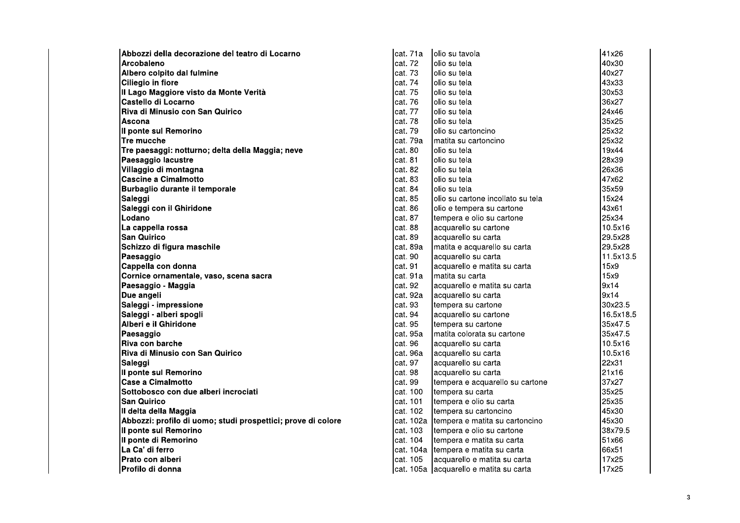| Abbozzi della decorazione del teatro di Locarno              | cat. 71a  | olio su tavola                         | 41x26     |
|--------------------------------------------------------------|-----------|----------------------------------------|-----------|
| Arcobaleno                                                   | cat. 72   | olio su tela                           | 40x30     |
| Albero colpito dal fulmine                                   | cat. 73   | olio su tela                           | 40x27     |
| Ciliegio in fiore                                            | cat. 74   | lolio su tela                          | 43x33     |
| Il Lago Maggiore visto da Monte Verità                       | cat. 75   | lolio su tela                          | 30x53     |
| Castello di Locarno                                          | cat. 76   | lolio su tela                          | 36x27     |
| Riva di Minusio con San Quirico                              | cat. 77   | lolio su tela                          | 24x46     |
| Ascona                                                       | cat. 78   | olio su tela                           | 35x25     |
| Il ponte sul Remorino                                        | cat. 79   | olio su cartoncino                     | 25x32     |
| Tre mucche                                                   | cat. 79a  | matita su cartoncino                   | 25x32     |
| Tre paesaggi: notturno; delta della Maggia; neve             | cat. 80   | olio su tela                           | 19x44     |
| Paesaggio lacustre                                           | cat. 81   | lolio su tela                          | 28x39     |
| Villaggio di montagna                                        | cat. 82   | lolio su tela                          | 26x36     |
| <b>Cascine a Cimalmotto</b>                                  | cat. 83   | olio su tela                           | 47x62     |
| Burbaglio durante il temporale                               | cat. 84   | olio su tela                           | 35x59     |
| Saleggi                                                      | cat. 85   | olio su cartone incollato su tela      | 15x24     |
| Saleggi con il Ghiridone                                     | cat. 86   | olio e tempera su cartone              | 43x61     |
| Lodano                                                       | cat. 87   | tempera e olio su cartone              | 25x34     |
| La cappella rossa                                            | cat. 88   | acquarello su cartone                  | 10.5x16   |
| <b>San Quirico</b>                                           | cat. 89   | acquarello su carta                    | 29.5x28   |
| Schizzo di figura maschile                                   | cat. 89a  | matita e acquarello su carta           | 29.5x28   |
| Paesaggio                                                    | cat. 90   | acquarello su carta                    | 11.5x13.5 |
| Cappella con donna                                           | cat. 91   | acquarello e matita su carta           | 15x9      |
| Cornice ornamentale, vaso, scena sacra                       | cat. 91a  | matita su carta                        | 15x9      |
| Paesaggio - Maggia                                           | cat. 92   | acquarello e matita su carta           | 9x14      |
| Due angeli                                                   | cat. 92a  | acquarello su carta                    | 9x14      |
| Saleggi - impressione                                        | cat. 93   | tempera su cartone                     | 30x23.5   |
| Saleggi - alberi spogli                                      | cat. 94   | acquarello su cartone                  | 16.5x18.5 |
| Alberi e il Ghiridone                                        | cat. 95   | tempera su cartone                     | 35x47.5   |
| Paesaggio                                                    | cat. 95a  | matita colorata su cartone             | 35x47.5   |
| Riva con barche                                              | cat. 96   | acquarello su carta                    | 10.5x16   |
| Riva di Minusio con San Quirico                              | cat. 96a  | acquarello su carta                    | 10.5x16   |
| Saleggi                                                      | cat. 97   | acquarello su carta                    | 22x31     |
| Il ponte sul Remorino                                        | cat. 98   | acquarello su carta                    | 21x16     |
| <b>Case a Cimalmotto</b>                                     | cat. 99   | tempera e acquarello su cartone        | 37x27     |
| Sottobosco con due alberi incrociati                         | cat. 100  | tempera su carta                       | 35x25     |
| <b>San Quirico</b>                                           | cat. 101  | tempera e olio su carta                | 25x35     |
| II delta della Maggia                                        | cat. 102  | tempera su cartoncino                  | 45x30     |
| Abbozzi: profilo di uomo; studi prospettici; prove di colore | cat. 102a | tempera e matita su cartoncino         | 45x30     |
| Il ponte sul Remorino                                        | cat. 103  | tempera e olio su cartone              | 38x79.5   |
| Il ponte di Remorino                                         | cat. 104  | tempera e matita su carta              | 51x66     |
| La Ca' di ferro                                              | cat. 104a | tempera e matita su carta              | 66x51     |
| Prato con alberi                                             | cat. 105  | acquarello e matita su carta           | 17x25     |
| lProfilo di donna                                            |           | cat. 105a acquarello e matita su carta | 17x25     |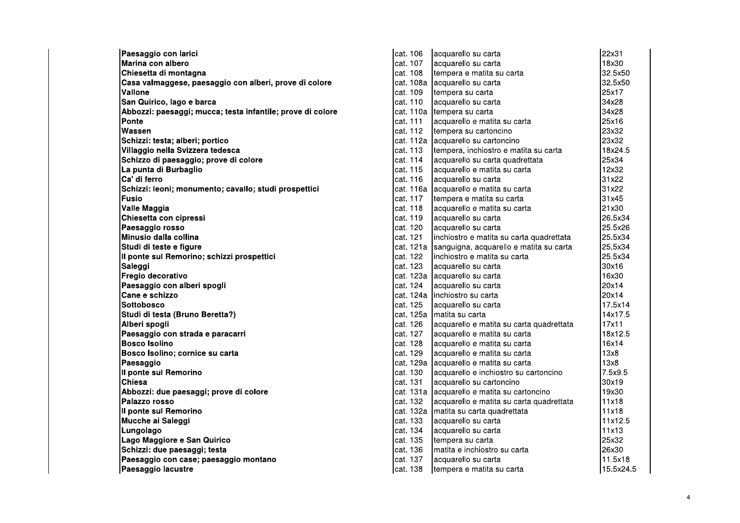Paesaggio con larici Marina con albero Chiesetta di montagna Casa valmaggese, paesaggio con alberi, prove di colore Vallone San Quirico, lago e barca Abbozzi: paesaggi; mucca; testa infantile; prove di colore Ponte lwassen Schizzi: testa; alberi; portico Villaggio nella Svizzera tedesca Schizzo di paesaggio; prove di colore La punta di Burbaglio Ca' di ferro Schizzi: leoni; monumento; cavallo; studi prospettici Fusio Valle Maggia Chiesetta con cipressi Paesaggio rosso Minusio dalla collina Studi di teste e figure Il ponte sul Remorino; schizzi prospettici Saleggi Fregio decorativo Paesaggio con alberi spogli Cane e schizzo **Sottobosco** Studi di testa (Bruno Beretta?) Alberi spogli Paesaggio con strada e paracarri **Bosco Isolino** Bosco Isolino; cornice su carta Paesaggio Il ponte sul Remorino **Chiesa** Abbozzi: due paesaggi; prove di colore Palazzo rosso Il ponte sul Remorino Mucche ai Saleggi Lungolago Lago Maggiore e San Quirico Schizzi: due paesaggi; testa Paesaggio con case; paesaggio montano Paesaggio lacustre

| cat. 106  | acquarello su carta                      | 22x31     |
|-----------|------------------------------------------|-----------|
| cat. 107  | acquarello su carta                      | 18x30     |
| cat. 108  | tempera e matita su carta                | 32.5x50   |
| cat. 108a | acquarello su carta                      | 32.5x50   |
| cat. 109  | tempera su carta                         | 25x17     |
| cat. 110  | acquarello su carta                      | 34x28     |
| cat. 110a | tempera su carta                         | 34x28     |
| cat. 111  | acquarello e matita su carta             | 25x16     |
| cat. 112  | tempera su cartoncino                    | 23x32     |
| cat. 112a | acquarello su cartoncino                 | 23x32     |
| cat. 113  | tempera, inchiostro e matita su carta    | 18x24.5   |
| cat. 114  | acquarello su carta quadrettata          | 25x34     |
| cat. 115  | acquarello e matita su carta             | 12x32     |
| cat. 116  | acquarello su carta                      | 31x22     |
| cat. 116a | acquarello e matita su carta             | 31x22     |
| cat. 117  | tempera e matita su carta                | 31x45     |
| cat. 118  | acquarello e matita su carta             | 21x30     |
| cat. 119  | acquarello su carta                      | 26.5x34   |
| cat. 120  | acquarello su carta                      | 25.5x26   |
| cat. 121  | inchiostro e matita su carta quadrettata | 25.5x34   |
| cat. 121a | sanguigna, acquarello e matita su carta  | 25.5x34   |
| cat. 122  | inchiostro e matita su carta             | 25.5x34   |
| cat. 123  | acquarello su carta                      | 30x16     |
| cat. 123a | acquarello su carta                      | 16x30     |
| cat. 124  | acquarello su carta                      | 20x14     |
| cat. 124a | inchiostro su carta                      | 20x14     |
| cat. 125  | acquarello su carta                      | 17.5x14   |
| cat. 125a | matita su carta                          | 14x17.5   |
| cat. 126  | acquarello e matita su carta quadrettata | 17x11     |
| cat. 127  | acquarello e matita su carta             | 18x12.5   |
| cat. 128  | acquarello e matita su carta             | 16x14     |
| cat. 129  | acquarello e matita su carta             | 13x8      |
| cat. 129a | acquarello e matita su carta             | 13x8      |
| cat. 130  | acquarello e inchiostro su cartoncino    | 7.5x9.5   |
| cat. 131  | acquarello su cartoncino                 | 30x19     |
| cat. 131a | acquarello e matita su cartoncino        | 19x30     |
| cat. 132  | acquarello e matita su carta quadrettata | 11x18     |
| cat. 132a | matita su carta quadrettata              | 11x18     |
| cat. 133  | acquarello su carta                      | 11x12.5   |
| cat. 134  | acquarello su carta                      | 11x13     |
| cat. 135  | tempera su carta                         | 25x32     |
| cat. 136  | matita e inchiostro su carta             | 26x30     |
| cat. 137  | acquarello su carta                      | 11.5x18   |
| cat. 138  | tempera e matita su carta                | 15.5x24.5 |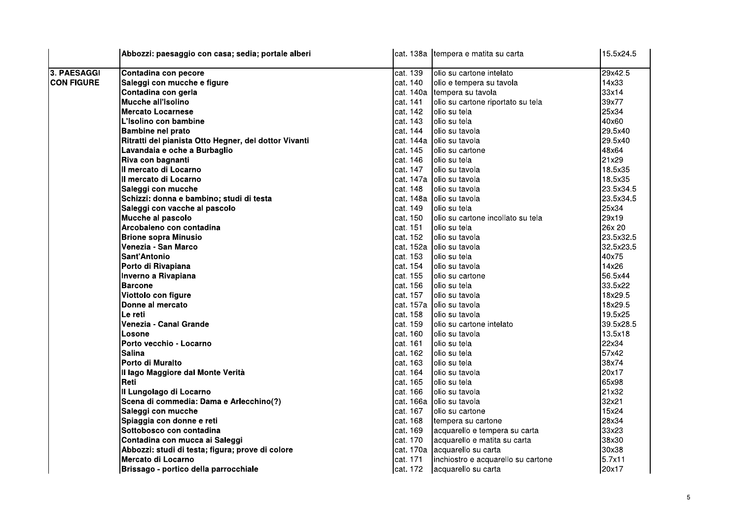|                   | Abbozzi: paesaggio con casa; sedia; portale alberi    |            | cat. 138a tempera e matita su carta | 15.5x24.5 |
|-------------------|-------------------------------------------------------|------------|-------------------------------------|-----------|
| 3. PAESAGGI       | Contadina con pecore                                  | cat. 139   | olio su cartone intelato            | 29x42.5   |
| <b>CON FIGURE</b> | Saleggi con mucche e figure                           | cat. 140   | olio e tempera su tavola            | 14x33     |
|                   | Contadina con gerla                                   | cat. 140a  | tempera su tavola                   | 33x14     |
|                   | Mucche all'Isolino                                    | cat. 141   | olio su cartone riportato su tela   | 39x77     |
|                   | <b>Mercato Locarnese</b>                              | cat. 142   | olio su tela                        | 25x34     |
|                   | L'Isolino con bambine                                 | cat. 143   | olio su tela                        | 40x60     |
|                   | <b>Bambine nel prato</b>                              | cat. 144   | olio su tavola                      | 29.5x40   |
|                   | Ritratti del pianista Otto Hegner, del dottor Vivanti | cat. 144a  | olio su tavola                      | 29.5x40   |
|                   | Lavandaia e oche a Burbaglio                          | cat. 145   | olio su cartone                     | 48x64     |
|                   | Riva con bagnanti                                     | cat. 146   | olio su tela                        | 21x29     |
|                   | II mercato di Locarno                                 | cat. 147   | olio su tavola                      | 18.5x35   |
|                   | II mercato di Locarno                                 | cat. 147a  | olio su tavola                      | 18.5x35   |
|                   | Saleggi con mucche                                    | cat. 148   | olio su tavola                      | 23.5x34.5 |
|                   | Schizzi: donna e bambino; studi di testa              | cat. 148a  | olio su tavola                      | 23.5x34.5 |
|                   | Saleggi con vacche al pascolo                         | cat. 149   | olio su tela                        | 25x34     |
|                   | Mucche al pascolo                                     | cat. 150   | olio su cartone incollato su tela   | 29x19     |
|                   | Arcobaleno con contadina                              | cat. 151   | olio su tela                        | 26x 20    |
|                   | <b>Brione sopra Minusio</b>                           | cat. 152   | olio su tavola                      | 23.5x32.5 |
|                   | Venezia - San Marco                                   | cat. 152a  | lolio su tavola                     | 32.5x23.5 |
|                   | Sant'Antonio                                          | cat. 153   | olio su tela                        | 40x75     |
|                   | Porto di Rivapiana                                    | cat. 154   | olio su tavola                      | 14x26     |
|                   | Inverno a Rivapiana                                   | cat. 155   | olio su cartone                     | 56.5x44   |
|                   | <b>Barcone</b>                                        | lcat. 156  | olio su tela                        | 33.5x22   |
|                   | Viottolo con figure                                   | cat. 157   | olio su tavola                      | 18x29.5   |
|                   | Donne al mercato                                      | cat. 157a  | olio su tavola                      | 18x29.5   |
|                   | Le reti                                               | cat. 158   | olio su tavola                      | 19.5x25   |
|                   | Venezia - Canal Grande                                | cat. 159   | olio su cartone intelato            | 39.5x28.5 |
|                   | Losone                                                | cat. 160   | olio su tavola                      | 13.5x18   |
|                   | Porto vecchio - Locarno                               | cat. 161   | olio su tela                        | 22x34     |
|                   | <b>Salina</b>                                         | cat. 162   | olio su tela                        | 57x42     |
|                   | Porto di Muralto                                      | cat. 163   | olio su tela                        | 38x74     |
|                   | II lago Maggiore dal Monte Verità                     | cat. 164   | olio su tavola                      | 20x17     |
|                   | Reti                                                  | cat. 165   | olio su tela                        | 65x98     |
|                   | II Lungolago di Locarno                               | cat. 166   | olio su tavola                      | 21x32     |
|                   | Scena di commedia: Dama e Arlecchino(?)               | cat. 166a  | olio su tavola                      | 32x21     |
|                   | Saleggi con mucche                                    | cat. 167   | olio su cartone                     | 15x24     |
|                   | Spiaggia con donne e reti                             | cat. 168   | tempera su cartone                  | 28x34     |
|                   | Sottobosco con contadina                              | cat. 169   | acquarello e tempera su carta       | 33x23     |
|                   | Contadina con mucca ai Saleggi                        | cat. 170   | acquarello e matita su carta        | 38x30     |
|                   | Abbozzi: studi di testa; figura; prove di colore      | lcat. 170a | acquarello su carta                 | 30x38     |
|                   | Mercato di Locarno                                    | lcat. 171  | inchiostro e acquarello su cartone  | 5.7x11    |
|                   | Brissago - portico della parrocchiale                 | cat. 172   | acquarello su carta                 | 20x17     |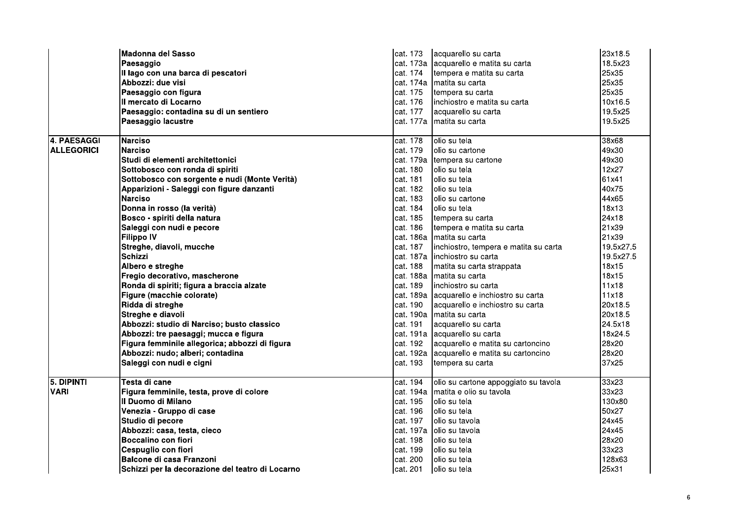|                   | <b>Madonna del Sasso</b>                         | cat. 173  | acquarello su carta                        | 23x18.5   |
|-------------------|--------------------------------------------------|-----------|--------------------------------------------|-----------|
|                   | Paesaggio                                        |           | cat. 173a acquarello e matita su carta     | 18.5x23   |
|                   | Il lago con una barca di pescatori               | cat. 174  | tempera e matita su carta                  | 25x35     |
|                   | Abbozzi: due visi                                | cat. 174a | matita su carta                            | 25x35     |
|                   | Paesaggio con figura                             | cat. 175  | tempera su carta                           | 25x35     |
|                   | Il mercato di Locarno                            | lcat. 176 | inchiostro e matita su carta               | 10x16.5   |
|                   | Paesaggio: contadina su di un sentiero           | cat. 177  | acquarello su carta                        | 19.5x25   |
|                   | Paesaggio lacustre                               | cat. 177a | matita su carta                            | 19.5x25   |
|                   |                                                  |           |                                            |           |
| 4. PAESAGGI       | <b>Narciso</b>                                   | cat. 178  | olio su tela                               | 38x68     |
| <b>ALLEGORICI</b> | <b>Narciso</b>                                   | cat. 179  | Iolio su cartone                           | 49x30     |
|                   | Studi di elementi architettonici                 | cat. 179a | tempera su cartone                         | 49x30     |
|                   | Sottobosco con ronda di spiriti                  | cat. 180  | lolio su tela                              | 12x27     |
|                   | Sottobosco con sorgente e nudi (Monte Verità)    | cat. 181  | olio su tela                               | 61x41     |
|                   | Apparizioni - Saleggi con figure danzanti        | cat. 182  | olio su tela                               | 40x75     |
|                   | <b>Narciso</b>                                   | cat. 183  | Iolio su cartone                           | 44x65     |
|                   | Donna in rosso (la verità)                       | cat. 184  | olio su tela                               | 18x13     |
|                   | Bosco - spiriti della natura                     | cat. 185  | tempera su carta                           | 24x18     |
|                   | Saleggi con nudi e pecore                        | cat. 186  | tempera e matita su carta                  | 21x39     |
|                   | <b>Filippo IV</b>                                | cat. 186a | Imatita su carta                           | 21x39     |
|                   | Streghe, diavoli, mucche                         | cat. 187  | inchiostro, tempera e matita su carta      | 19.5x27.5 |
|                   | <b>Schizzi</b>                                   |           | cat. 187a inchiostro su carta              | 19.5x27.5 |
|                   | Albero e streghe                                 | cat. 188  | matita su carta strappata                  | 18x15     |
|                   | Fregio decorativo, mascherone                    | cat. 188a | matita su carta                            | 18x15     |
|                   | Ronda di spiriti; figura a braccia alzate        | cat. 189  | linchiostro su carta                       | 11x18     |
|                   | Figure (macchie colorate)                        |           | cat. 189a acquarello e inchiostro su carta | 11x18     |
|                   | Ridda di streghe                                 | cat. 190  | acquarello e inchiostro su carta           | 20x18.5   |
|                   | Streghe e diavoli                                |           | cat. 190a matita su carta                  | 20x18.5   |
|                   | Abbozzi: studio di Narciso; busto classico       | cat. 191  | acquarello su carta                        | 24.5x18   |
|                   | Abbozzi: tre paesaggi; mucca e figura            |           | cat. 191a acquarello su carta              | 18x24.5   |
|                   | Figura femminile allegorica; abbozzi di figura   | cat. 192  | acquarello e matita su cartoncino          | 28x20     |
|                   | Abbozzi: nudo; alberi; contadina                 | cat. 192a | acquarello e matita su cartoncino          | 28x20     |
|                   | Saleggi con nudi e cigni                         | cat. 193  | tempera su carta                           | 37x25     |
|                   |                                                  |           |                                            |           |
| 5. DIPINTI        | Testa di cane                                    | cat. 194  | olio su cartone appoggiato su tavola       | 33x23     |
| <b>VARI</b>       | Figura femminile, testa, prove di colore         | cat. 194a | matita e olio su tavola                    | 33x23     |
|                   | Il Duomo di Milano                               | cat. 195  | olio su tela                               | 130x80    |
|                   | Venezia - Gruppo di case                         | cat. 196  | lolio su tela                              | 50x27     |
|                   | Studio di pecore                                 | cat. 197  | lolio su tavola                            | 24x45     |
|                   | Abbozzi: casa, testa, cieco                      | cat. 197a | lolio su tavola                            | 24x45     |
|                   | Boccalino con fiori                              | cat. 198  | olio su tela                               | 28x20     |
|                   | Cespuglio con fiori                              | cat. 199  | olio su tela                               | 33x23     |
|                   | Balcone di casa Franzoni                         | cat. 200  | olio su tela                               | 128x63    |
|                   | Schizzi per la decorazione del teatro di Locarno | lcat. 201 | lolio su tela                              | 25x31     |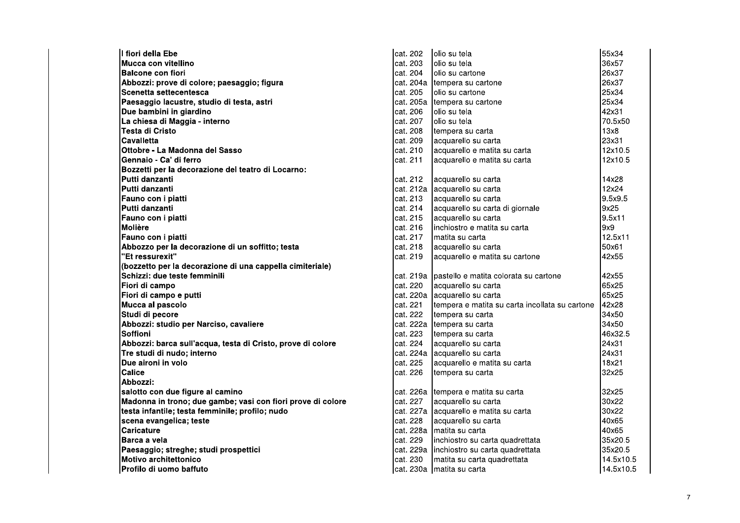| I fiori della Ebe                                           |
|-------------------------------------------------------------|
| Mucca con vitellino                                         |
| <b>Balcone con fiori</b>                                    |
| Abbozzi: prove di colore; paesaggio; figura                 |
| Scenetta settecentesca                                      |
| Paesaggio lacustre, studio di testa, astri                  |
| Due bambini in giardino                                     |
| La chiesa di Maggia - interno                               |
| Testa di Cristo                                             |
| Cavalletta                                                  |
| Ottobre - La Madonna del Sasso                              |
| Gennaio - Ca' di ferro                                      |
| Bozzetti per la decorazione del teatro di Locarno:          |
| Putti danzanti                                              |
| Putti danzanti                                              |
| Fauno con i piatti                                          |
| Putti danzanti                                              |
| Fauno con i piatti                                          |
| Molière                                                     |
| Fauno con i piatti                                          |
| Abbozzo per la decorazione di un soffitto; testa            |
| "Et ressurexit"                                             |
| (bozzetto per la decorazione di una cappella cimiteriale)   |
| Schizzi: due teste femminili                                |
| Fiori di campo                                              |
| Fiori di campo e putti                                      |
| Mucca al pascolo                                            |
| Studi di pecore                                             |
| Abbozzi: studio per Narciso, cavaliere                      |
| Soffioni                                                    |
| Abbozzi: barca sull'acqua, testa di Cristo, prove di colore |
| Tre studi di nudo: interno                                  |
| Due aironi in volo                                          |
| Calice                                                      |
| Abbozzi:                                                    |
| salotto con due figure al camino                            |
| Madonna in trono; due gambe; vasi con fiori prove di colore |
| testa infantile; testa femminile; profilo; nudo             |
| scena evangelica; teste                                     |
| Caricature                                                  |
| Barca a vela                                                |
| Paesaggio; streghe; studi prospettici                       |
| <b>Motivo architettonico</b>                                |
| Profilo di uomo baffuto                                     |

| cat. 202  | olio su tela                                   | 55x34     |
|-----------|------------------------------------------------|-----------|
| cat. 203  | olio su tela                                   | 36x57     |
| cat. 204  | olio su cartone                                | 26x37     |
| cat. 204a | tempera su cartone                             | 26x37     |
| cat. 205  | olio su cartone                                | 25x34     |
| cat. 205a | tempera su cartone                             | 25x34     |
| cat. 206  | olio su tela                                   | 42x31     |
| cat. 207  | olio su tela                                   | 70.5x50   |
| cat. 208  | tempera su carta                               | 13x8      |
| cat. 209  | acquarello su carta                            | 23x31     |
| cat. 210  | acquarello e matita su carta                   | 12x10.5   |
| cat. 211  | acquarello e matita su carta                   | 12x10.5   |
| cat. 212  | acquarello su carta                            | 14x28     |
| cat. 212a | acquarello su carta                            | 12x24     |
| cat. 213  | acquarello su carta                            | 9.5x9.5   |
| cat. 214  | acquarello su carta di giornale                | 9x25      |
| cat. 215  | acquarello su carta                            | 9.5x11    |
| cat. 216  | inchiostro e matita su carta                   | 9x9       |
| cat. 217  | matita su carta                                | 12.5x11   |
| cat. 218  | acquarello su carta                            | 50x61     |
| cat. 219  | acquarello e matita su cartone                 | 42x55     |
| cat. 219a | pastello e matita colorata su cartone          | 42x55     |
| cat. 220  | acquarello su carta                            | 65x25     |
| cat. 220a | acquarello su carta                            | 65x25     |
| cat. 221  | tempera e matita su carta incollata su cartone | 42x28     |
| cat. 222  | tempera su carta                               | 34x50     |
| cat. 222a | tempera su carta                               | 34x50     |
| cat. 223  | tempera su carta                               | 46x32.5   |
| cat. 224  | acquarello su carta                            | 24x31     |
| cat. 224a | acquarello su carta                            | 24x31     |
| cat. 225  | acquarello e matita su carta                   | 18x21     |
| cat. 226  | tempera su carta                               | 32x25     |
| cat. 226a | tempera e matita su carta                      | 32x25     |
| cat. 227  | acquarello su carta                            | 30x22     |
| cat. 227a | acquarello e matita su carta                   | 30x22     |
| cat. 228  | acquarello su carta                            | 40x65     |
| cat. 228a | matita su carta                                | 40x65     |
| cat. 229  | inchiostro su carta quadrettata                | 35x20.5   |
| cat. 229a | inchiostro su carta quadrettata                | 35x20.5   |
| cat. 230  | matita su carta quadrettata                    | 14.5x10.5 |
| cat. 230a | matita su carta                                | 14.5x10.5 |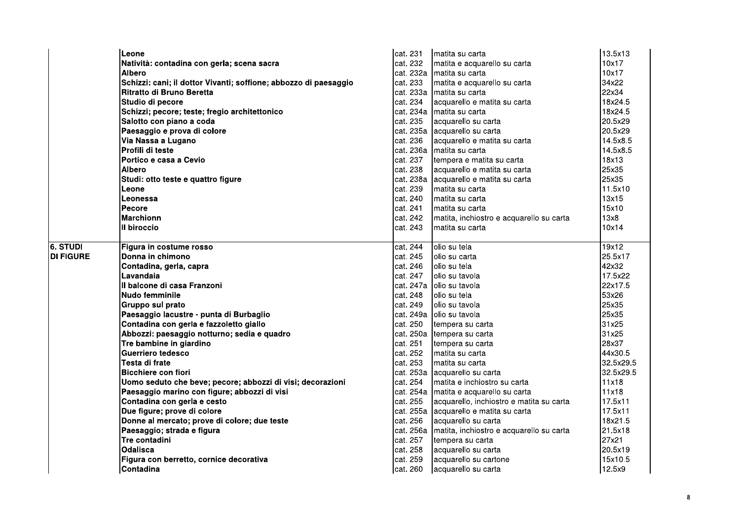|                  | Leone                                                            | cat. 231  | matita su carta                          | 13.5x13   |
|------------------|------------------------------------------------------------------|-----------|------------------------------------------|-----------|
|                  | Natività: contadina con gerla; scena sacra                       | cat. 232  | matita e acquarello su carta             | 10x17     |
|                  | <b>Albero</b>                                                    | cat. 232a | Imatita su carta                         | 10x17     |
|                  | Schizzi: cani; il dottor Vivanti; soffione; abbozzo di paesaggio | cat. 233  | matita e acquarello su carta             | 34x22     |
|                  | <b>Ritratto di Bruno Beretta</b>                                 | cat. 233a | Imatita su carta                         | 22x34     |
|                  | Studio di pecore                                                 | cat. 234  | acquarello e matita su carta             | 18x24.5   |
|                  | Schizzi; pecore; teste; fregio architettonico                    | cat. 234a | matita su carta                          | 18x24.5   |
|                  | Salotto con piano a coda                                         | cat. 235  | acquarello su carta                      | 20.5x29   |
|                  | Paesaggio e prova di colore                                      |           | cat. 235a acquarello su carta            | 20.5x29   |
|                  | Via Nassa a Lugano                                               | cat. 236  | acquarello e matita su carta             | 14.5x8.5  |
|                  | Profili di teste                                                 | cat. 236a | Imatita su carta                         | 14.5x8.5  |
|                  | Portico e casa a Cevio                                           | cat. 237  | tempera e matita su carta                | 18x13     |
|                  | <b>Albero</b>                                                    | cat. 238  | acquarello e matita su carta             | 25x35     |
|                  | Studi: otto teste e quattro figure                               | cat. 238a | acquarello e matita su carta             | 25x35     |
|                  | Leone                                                            | cat. 239  | matita su carta                          | 11.5x10   |
|                  | Leonessa                                                         | cat. 240  | matita su carta                          | 13x15     |
|                  | Pecore                                                           | cat. 241  | matita su carta                          | 15x10     |
|                  | <b>Marchionn</b>                                                 | cat. 242  | matita, inchiostro e acquarello su carta | 13x8      |
|                  | III biroccio                                                     | cat. 243  | matita su carta                          | 10x14     |
|                  |                                                                  |           |                                          |           |
| 6. STUDI         | Figura in costume rosso                                          | cat. 244  | olio su tela                             | 19x12     |
| <b>DI FIGURE</b> | Donna in chimono                                                 | cat. 245  | olio su carta                            | 25.5x17   |
|                  | Contadina, gerla, capra                                          | cat. 246  | lolio su tela                            | 42x32     |
|                  | Lavandaia                                                        | cat. 247  | lolio su tavola                          | 17.5x22   |
|                  | Il balcone di casa Franzoni                                      |           | cat. 247a Iolio su tavola                | 22x17.5   |
|                  | <b>Nudo femminile</b>                                            | cat. 248  | olio su tela                             | 53x26     |
|                  | Gruppo sul prato                                                 | cat. 249  | lolio su tavola                          | 25x35     |
|                  | Paesaggio lacustre - punta di Burbaglio                          |           | cat. 249a olio su tavola                 | 25x35     |
|                  | Contadina con gerla e fazzoletto giallo                          | cat. 250  | tempera su carta                         | 31x25     |
|                  | Abbozzi: paesaggio notturno; sedia e quadro                      | cat. 250a | tempera su carta                         | 31x25     |
|                  | Tre bambine in giardino                                          | cat. 251  | tempera su carta                         | 28x37     |
|                  | Guerriero tedesco                                                | cat. 252  | matita su carta                          | 44x30.5   |
|                  | Testa di frate                                                   | cat. 253  | matita su carta                          | 32.5x29.5 |
|                  | <b>Bicchiere con fiori</b>                                       | cat. 253a | acquarello su carta                      | 32.5x29.5 |
|                  | Uomo seduto che beve; pecore; abbozzi di visi; decorazioni       | cat. 254  | Imatita e inchiostro su carta            | 11x18     |
|                  | Paesaggio marino con figure; abbozzi di visi                     | cat. 254a | matita e acquarello su carta             | 11x18     |
|                  | Contadina con gerla e cesto                                      | cat. 255  | acquarello, inchiostro e matita su carta | 17.5x11   |
|                  | Due figure; prove di colore                                      | cat. 255a | acquarello e matita su carta             | 17.5x11   |
|                  | Donne al mercato; prove di colore; due teste                     | cat. 256  | acquarello su carta                      | 18x21.5   |
|                  | Paesaggio; strada e figura                                       | cat. 256a | matita, inchiostro e acquarello su carta | 21.5x18   |
|                  | Tre contadini                                                    | cat. 257  | tempera su carta                         | 27x21     |
|                  | Odalisca                                                         | cat. 258  | acquarello su carta                      | 20.5x19   |
|                  | Figura con berretto, cornice decorativa                          | cat. 259  | acquarello su cartone                    | 15x10.5   |
|                  | Contadina                                                        | cat. 260  | acquarello su carta                      | 12.5x9    |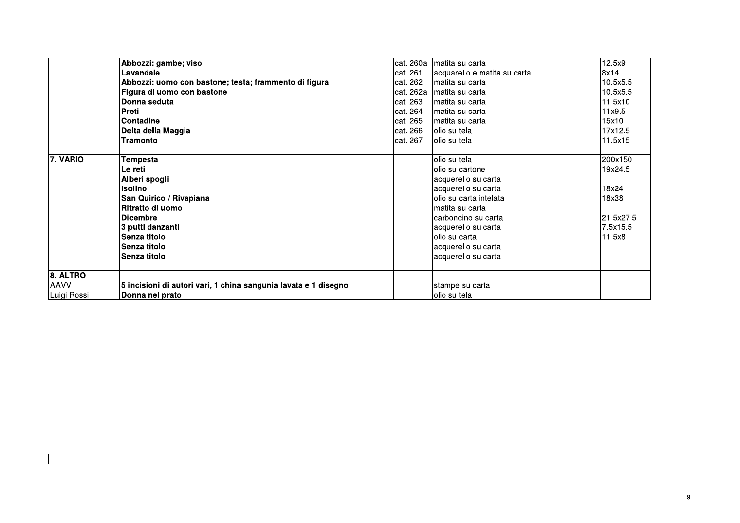|             | Abbozzi: gambe; viso                                            |           | cat. 260a Imatita su carta   | 12.5x9    |
|-------------|-----------------------------------------------------------------|-----------|------------------------------|-----------|
|             | Lavandaie                                                       | cat. 261  | acquarello e matita su carta | 8x14      |
|             | Abbozzi: uomo con bastone; testa; frammento di figura           | cat. 262  | Imatita su carta             | 10.5x5.5  |
|             | Figura di uomo con bastone                                      | cat. 262a | Imatita su carta             | 10.5x5.5  |
|             | Donna seduta                                                    | cat. 263  | Imatita su carta             | 11.5x10   |
|             | Preti                                                           | cat. 264  | Imatita su carta             | 11x9.5    |
|             | <b>Contadine</b>                                                | cat. 265  | matita su carta              | 15x10     |
|             | Delta della Maggia                                              | lcat. 266 | lolio su tela                | 17x12.5   |
|             | <b>Tramonto</b>                                                 | lcat. 267 | Iolio su tela                | 11.5x15   |
|             |                                                                 |           |                              |           |
| 7. VARIO    | Tempesta                                                        |           | olio su tela                 | 200x150   |
|             | Le reti                                                         |           | olio su cartone              | 19x24.5   |
|             | Alberi spogli                                                   |           | acquerello su carta          |           |
|             | Isolino                                                         |           | acquerello su carta          | 18x24     |
|             | San Quirico / Rivapiana                                         |           | lolio su carta intelata      | 18x38     |
|             | <b>IRitratto di uomo</b>                                        |           | lmatita su carta             |           |
|             | <b>IDicembre</b>                                                |           | Icarboncino su carta         | 21.5x27.5 |
|             | 3 putti danzanti                                                |           | acquerello su carta          | 7.5x15.5  |
|             | Senza titolo                                                    |           | lolio su carta               | 11.5x8    |
|             | Senza titolo                                                    |           | acquerello su carta          |           |
|             | Senza titolo                                                    |           | acquerello su carta          |           |
|             |                                                                 |           |                              |           |
| $6.$ ALTRO  |                                                                 |           |                              |           |
| <b>AAVV</b> | 5 incisioni di autori vari, 1 china sangunia lavata e 1 disegno |           | stampe su carta              |           |
| Luigi Rossi | Donna nel prato                                                 |           | lolio su tela                |           |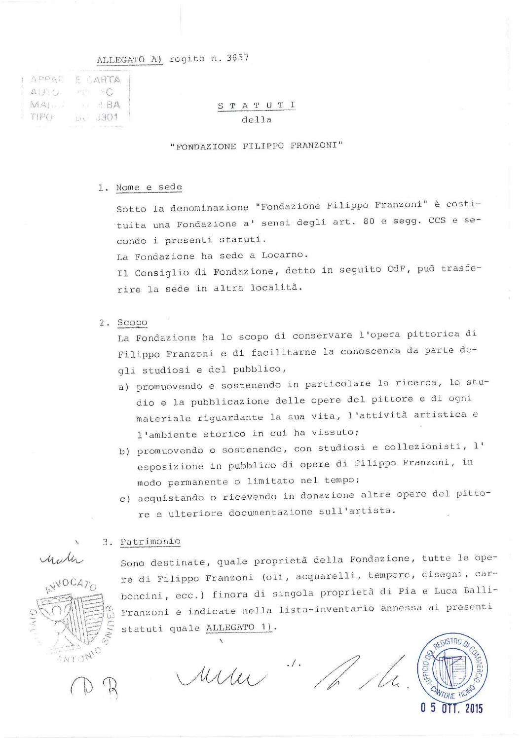## ALLEGATO A) rogito n. 3657

| APPAC |    | E CARTA                                                                     |
|-------|----|-----------------------------------------------------------------------------|
| AUTO. |    | $\mathbb{E}[\mathbb{E}^{\mathbb{E}}] = \mathbb{E}[\mathbb{C}^{\mathbb{E}}]$ |
| MA    | 图文 | $-1.8A$                                                                     |
| TPPO  |    | 0.3301                                                                      |
|       |    |                                                                             |

### STATUTI  $d$ ella

### "FONDAZIONE FILIPPO FRANZONI"

#### 1. Nome e sede

Sotto la denominazione "Fondazione Filippo Franzoni" è costituita una Fondazione a' sensi degli art. 80 e segg. CCS e secondo i presenti statuti.

La Fondazione ha sede a Locarno.

Il Consiglio di Fondazione, detto in seguito CdF, può trasferire la sede in altra località.

2. Scopo

La Fondazione ha lo scopo di conservare l'opera pittorica di Filippo Franzoni e di facilitarne la conoscenza da parte degli studiosi e del pubblico,

- a) promuovendo e sostenendo in particolare la ricerca, lo studio e la pubblicazione delle opere del pittore e di ogni materiale riguardante la sua vita, l'attività artistica e l'ambiente storico in cui ha vissuto;
- b) promuovendo o sostenendo, con studiosi e collezionisti, l' esposizione in pubblico di opere di Filippo Franzoni, in modo permanente o limitato nel tempo;
- c) acquistando o ricevendo in donazione altre opere del pittore e ulteriore documentazione sull'artista.

### 3. Patrimonio



Sono destinate, quale proprietà della Fondazione, tutte le opere di Filippo Franzoni (oli, acquarelli, tempere, disegni, carboncini, ecc.) finora di singola proprietà di Pia e Luca Balli-Franzoni e indicate nella lista-inventario annessa ai presenti statuti quale ALLEGATO 1).

rum " the the

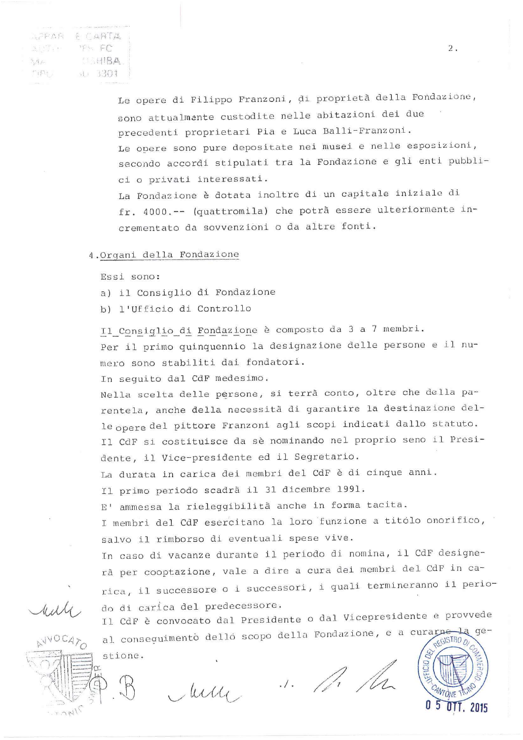SPAR & CARTA  $25.55$  FC **ABIBA**  $5.4 -$ M. 3301  $r_1 p_1$ 

Le opere di Filippo Franzoni, di proprietà della Fondazione, sono attualmente custodite nelle abitazioni dei due precedenti proprietari Pia e Luca Balli-Franzoni. Le opere sono pure depositate nei musei e nelle esposizioni, secondo accordi stipulati tra la Fondazione e gli enti pubblici o privati interessati. La Fondazione è dotata inoltre di un capitale iniziale di

fr. 4000 .-- (quattromila) che potrà essere ulteriormente incrementato da sovvenzioni o da altre fonti.

### 4. Organi della Fondazione

Essi sono:

- a) il Consiglio di Fondazione
- b) l'Ufficio di Controllo

Il Consiglio di Fondazione è composto da 3 a 7 membri. Per il primo quinquennio la designazione delle persone e il numero sono stabiliti dai fondatori.

In sequito dal CdF medesimo.

Nella scelta delle persone, si terrà conto, oltre che della parentela, anche della necessità di garantire la destinazione delle opere del pittore Franzoni agli scopi indicati dallo statuto. Il CdF si costituisce da sè nominando nel proprio seno il Presidente, il Vice-presidente ed il Segretario.

La durata in carica dei membri del CdF è di cinque anni.

Il primo periodo scadrà il 31 dicembre 1991.

E' ammessa la rieleggibilità anche in forma tacita.

I membri del CdF esercitano la loro funzione a titolo onorifico, salvo il rimborso di eventuali spese vive.

In caso di vacanze durante il periodo di nomina, il CdF designerà per cooptazione, vale a dire a cura dei membri del CdF in carica, il successore o i successori, i quali termineranno il periodo di carica del predecessore.

Il CdF è convocato dal Presidente o dal Vicepresidente e provvede al conseguimento dello scopo della Fondazione, e a curarne  $qe \perp$ a **REGISTRO** O stione.

 $72715$ 

July ... M. M.



 $2.$